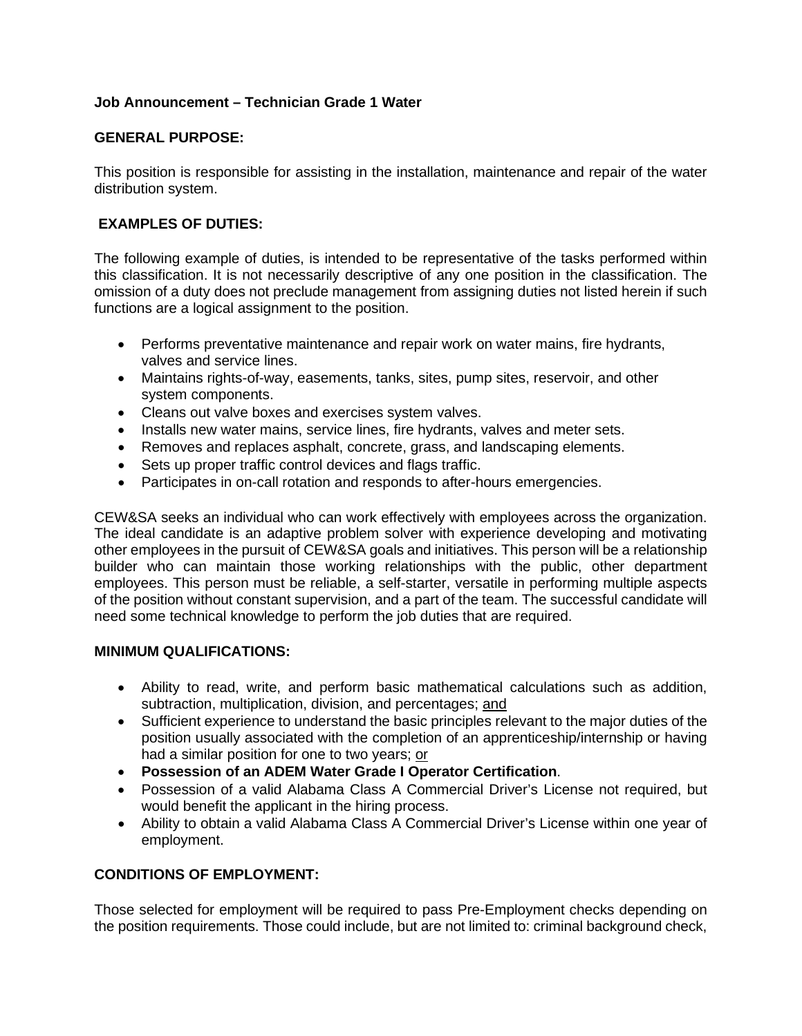## **Job Announcement – Technician Grade 1 Water**

## **GENERAL PURPOSE:**

This position is responsible for assisting in the installation, maintenance and repair of the water distribution system.

# **EXAMPLES OF DUTIES:**

The following example of duties, is intended to be representative of the tasks performed within this classification. It is not necessarily descriptive of any one position in the classification. The omission of a duty does not preclude management from assigning duties not listed herein if such functions are a logical assignment to the position.

- Performs preventative maintenance and repair work on water mains, fire hydrants, valves and service lines.
- Maintains rights-of-way, easements, tanks, sites, pump sites, reservoir, and other system components.
- Cleans out valve boxes and exercises system valves.
- Installs new water mains, service lines, fire hydrants, valves and meter sets.
- Removes and replaces asphalt, concrete, grass, and landscaping elements.
- Sets up proper traffic control devices and flags traffic.
- Participates in on-call rotation and responds to after-hours emergencies.

CEW&SA seeks an individual who can work effectively with employees across the organization. The ideal candidate is an adaptive problem solver with experience developing and motivating other employees in the pursuit of CEW&SA goals and initiatives. This person will be a relationship builder who can maintain those working relationships with the public, other department employees. This person must be reliable, a self-starter, versatile in performing multiple aspects of the position without constant supervision, and a part of the team. The successful candidate will need some technical knowledge to perform the job duties that are required.

#### **MINIMUM QUALIFICATIONS:**

- Ability to read, write, and perform basic mathematical calculations such as addition, subtraction, multiplication, division, and percentages; and
- Sufficient experience to understand the basic principles relevant to the major duties of the position usually associated with the completion of an apprenticeship/internship or having had a similar position for one to two years; or
- **Possession of an ADEM Water Grade I Operator Certification**.
- Possession of a valid Alabama Class A Commercial Driver's License not required, but would benefit the applicant in the hiring process.
- Ability to obtain a valid Alabama Class A Commercial Driver's License within one year of employment.

#### **CONDITIONS OF EMPLOYMENT:**

Those selected for employment will be required to pass Pre-Employment checks depending on the position requirements. Those could include, but are not limited to: criminal background check,